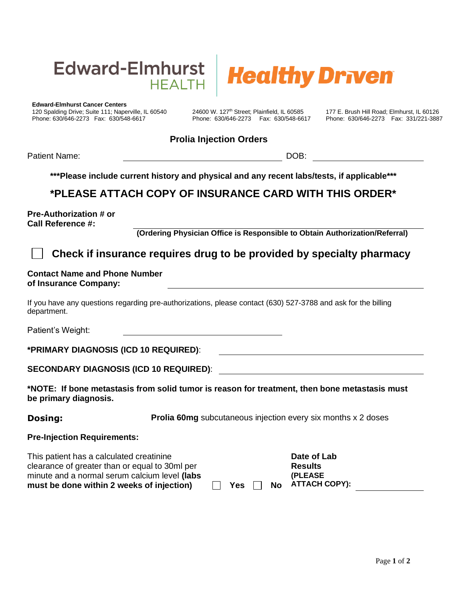



120 Spalding Drive; Suite 111; Naperville, IL 60540 24600 W. 127<sup>th</sup> Street; Plainfield, IL 60585 177 E. Brush Hill Road; Elmhurst, IL 60126<br>Phone: 630/646-2273 Fax: 630/548-6617 Phone: 630/646-2273 Fax: 630/548-6617 Phone Phone: 630/646-2273 Fax: 630/548-6617 Phone: 630/646-2273 Fax: 630/548-6617 Phone: 630/646-2273 Fax: 331/221-3887

### **Prolia Injection Orders**

Patient Name: Name: Name: Name: Name: Name: Name: Name: Name: Name: Name: Name: Name: Name: Name: Name: Name: Name: Name: Name: Name: Name: Name: Name: Name: Name: Name: Name: Name: Name: Name: Name: Name: Name: Name: Name

**\*\*\*Please include current history and physical and any recent labs/tests, if applicable\*\*\***

## **\*PLEASE ATTACH COPY OF INSURANCE CARD WITH THIS ORDER\***

**Pre-Authorization # or Call Reference #:**

**(Ordering Physician Office is Responsible to Obtain Authorization/Referral)**

## **Check if insurance requires drug to be provided by specialty pharmacy**

#### **Contact Name and Phone Number of Insurance Company:**

If you have any questions regarding pre-authorizations, please contact (630) 527-3788 and ask for the billing department.

Patient's Weight:

**\*PRIMARY DIAGNOSIS (ICD 10 REQUIRED)**:

| <b>SECONDARY DIAGNOSIS (ICD 10 REQUIRED):</b> |  |
|-----------------------------------------------|--|
|-----------------------------------------------|--|

**\*NOTE: If bone metastasis from solid tumor is reason for treatment, then bone metastasis must be primary diagnosis.**

**Dosing: Prolia 60mg** subcutaneous injection every six months x 2 doses

#### **Pre-Injection Requirements:**

| This patient has a calculated creatinine       |     |  | Date of Lab      |
|------------------------------------------------|-----|--|------------------|
| clearance of greater than or equal to 30ml per |     |  | <b>Results</b>   |
| minute and a normal serum calcium level (labs  |     |  | <b>(PLEASE)</b>  |
| must be done within 2 weeks of injection)      | Yes |  | No ATTACH COPY): |

**Date of Lab Results (PLEASE**